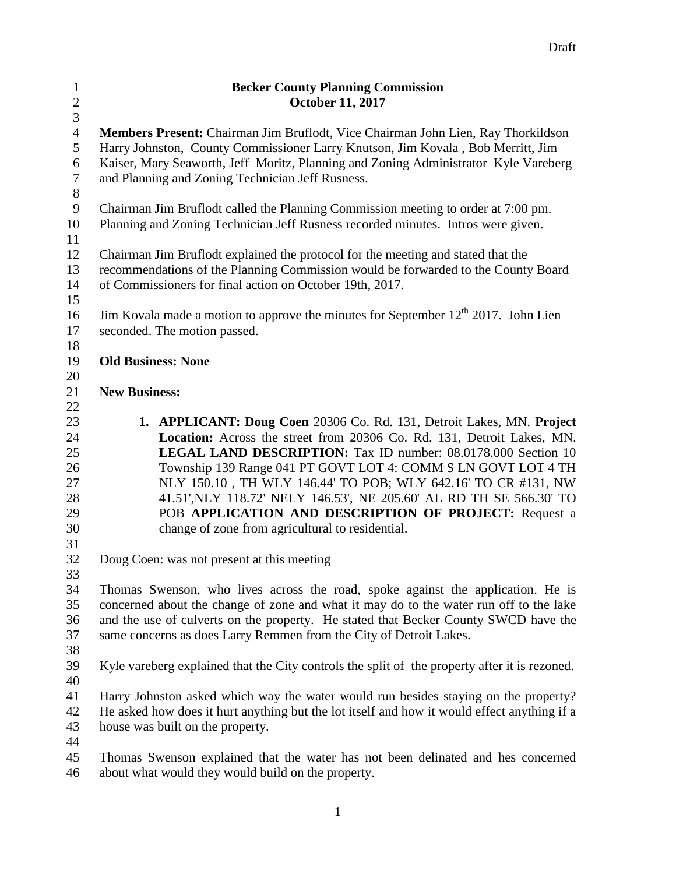| $\mathbf{1}$     | <b>Becker County Planning Commission</b>                                                       |
|------------------|------------------------------------------------------------------------------------------------|
| $\sqrt{2}$       | <b>October 11, 2017</b>                                                                        |
| $\overline{3}$   |                                                                                                |
| $\overline{4}$   | Members Present: Chairman Jim Bruflodt, Vice Chairman John Lien, Ray Thorkildson               |
| 5                | Harry Johnston, County Commissioner Larry Knutson, Jim Kovala, Bob Merritt, Jim                |
| 6                | Kaiser, Mary Seaworth, Jeff Moritz, Planning and Zoning Administrator Kyle Vareberg            |
| $\boldsymbol{7}$ | and Planning and Zoning Technician Jeff Rusness.                                               |
| $8\,$            |                                                                                                |
| 9                | Chairman Jim Bruflodt called the Planning Commission meeting to order at 7:00 pm.              |
| 10               | Planning and Zoning Technician Jeff Rusness recorded minutes. Intros were given.               |
| 11               |                                                                                                |
| 12               | Chairman Jim Bruflodt explained the protocol for the meeting and stated that the               |
| 13               | recommendations of the Planning Commission would be forwarded to the County Board              |
| 14               | of Commissioners for final action on October 19th, 2017.                                       |
| 15               |                                                                                                |
| 16               | Jim Kovala made a motion to approve the minutes for September 12 <sup>th</sup> 2017. John Lien |
| 17               | seconded. The motion passed.                                                                   |
| 18               |                                                                                                |
| 19               | <b>Old Business: None</b>                                                                      |
| 20               |                                                                                                |
| 21               | <b>New Business:</b>                                                                           |
| 22               |                                                                                                |
| 23               | 1. APPLICANT: Doug Coen 20306 Co. Rd. 131, Detroit Lakes, MN. Project                          |
| 24               | Location: Across the street from 20306 Co. Rd. 131, Detroit Lakes, MN.                         |
| 25               | LEGAL LAND DESCRIPTION: Tax ID number: 08.0178.000 Section 10                                  |
| 26               | Township 139 Range 041 PT GOVT LOT 4: COMM S LN GOVT LOT 4 TH                                  |
| 27               | NLY 150.10, TH WLY 146.44' TO POB; WLY 642.16' TO CR #131, NW                                  |
| 28               | 41.51', NLY 118.72' NELY 146.53', NE 205.60' AL RD TH SE 566.30' TO                            |
| 29               | POB APPLICATION AND DESCRIPTION OF PROJECT: Request a                                          |
| 30               | change of zone from agricultural to residential.                                               |
| 31               |                                                                                                |
| 32               | Doug Coen: was not present at this meeting                                                     |
| 33               |                                                                                                |
| 34               | Thomas Swenson, who lives across the road, spoke against the application. He is                |
| 35               | concerned about the change of zone and what it may do to the water run off to the lake         |
| 36               | and the use of culverts on the property. He stated that Becker County SWCD have the            |
| 37               | same concerns as does Larry Remmen from the City of Detroit Lakes.                             |
| 38               |                                                                                                |
| 39               | Kyle vareberg explained that the City controls the split of the property after it is rezoned.  |
| 40               |                                                                                                |
| 41               | Harry Johnston asked which way the water would run besides staying on the property?            |
| 42               | He asked how does it hurt anything but the lot itself and how it would effect anything if a    |
| 43               | house was built on the property.                                                               |
| 44               |                                                                                                |
| 45               | Thomas Swenson explained that the water has not been delinated and hes concerned               |
| 46               | about what would they would build on the property.                                             |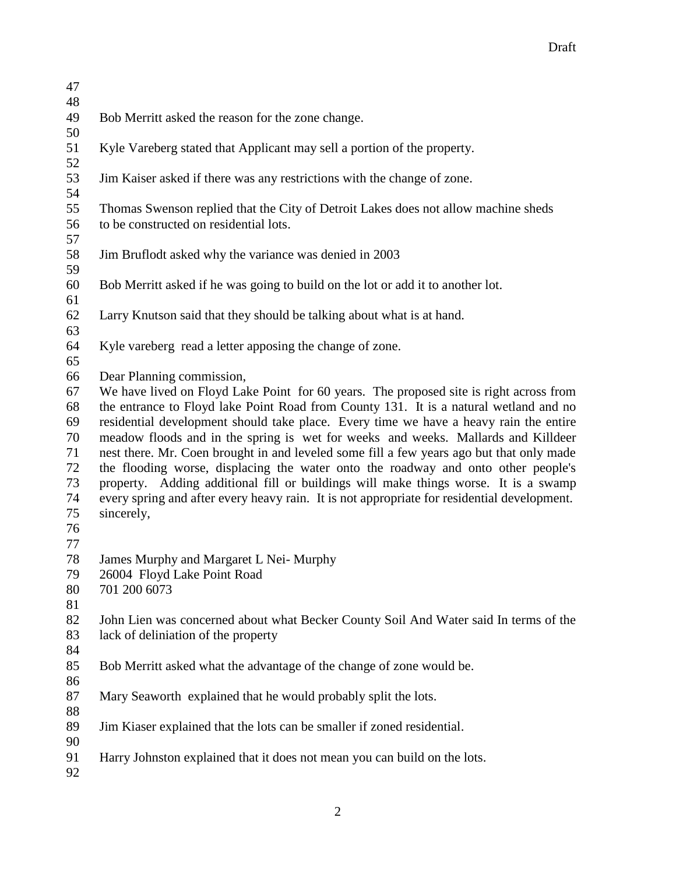| 47 |                                                                                             |
|----|---------------------------------------------------------------------------------------------|
| 48 |                                                                                             |
| 49 | Bob Merritt asked the reason for the zone change.                                           |
| 50 |                                                                                             |
| 51 | Kyle Vareberg stated that Applicant may sell a portion of the property.                     |
| 52 |                                                                                             |
| 53 | Jim Kaiser asked if there was any restrictions with the change of zone.                     |
|    |                                                                                             |
| 54 |                                                                                             |
| 55 | Thomas Swenson replied that the City of Detroit Lakes does not allow machine sheds          |
| 56 | to be constructed on residential lots.                                                      |
| 57 |                                                                                             |
| 58 | Jim Bruflodt asked why the variance was denied in 2003                                      |
| 59 |                                                                                             |
| 60 | Bob Merritt asked if he was going to build on the lot or add it to another lot.             |
| 61 |                                                                                             |
| 62 | Larry Knutson said that they should be talking about what is at hand.                       |
| 63 |                                                                                             |
| 64 | Kyle vareberg read a letter apposing the change of zone.                                    |
| 65 |                                                                                             |
|    |                                                                                             |
| 66 | Dear Planning commission,                                                                   |
| 67 | We have lived on Floyd Lake Point for 60 years. The proposed site is right across from      |
| 68 | the entrance to Floyd lake Point Road from County 131. It is a natural wetland and no       |
| 69 | residential development should take place. Every time we have a heavy rain the entire       |
| 70 | meadow floods and in the spring is wet for weeks and weeks. Mallards and Killdeer           |
| 71 | nest there. Mr. Coen brought in and leveled some fill a few years ago but that only made    |
| 72 | the flooding worse, displacing the water onto the roadway and onto other people's           |
| 73 | property. Adding additional fill or buildings will make things worse. It is a swamp         |
| 74 | every spring and after every heavy rain. It is not appropriate for residential development. |
| 75 | sincerely,                                                                                  |
| 76 |                                                                                             |
| 77 |                                                                                             |
|    |                                                                                             |
| 78 | James Murphy and Margaret L Nei-Murphy                                                      |
| 79 | 26004 Floyd Lake Point Road                                                                 |
| 80 | 701 200 6073                                                                                |
| 81 |                                                                                             |
| 82 | John Lien was concerned about what Becker County Soil And Water said In terms of the        |
| 83 | lack of deliniation of the property                                                         |
| 84 |                                                                                             |
| 85 | Bob Merritt asked what the advantage of the change of zone would be.                        |
| 86 |                                                                                             |
| 87 | Mary Seaworth explained that he would probably split the lots.                              |
| 88 |                                                                                             |
|    |                                                                                             |
| 89 | Jim Kiaser explained that the lots can be smaller if zoned residential.                     |
| 90 |                                                                                             |
| 91 | Harry Johnston explained that it does not mean you can build on the lots.                   |
| 92 |                                                                                             |
|    |                                                                                             |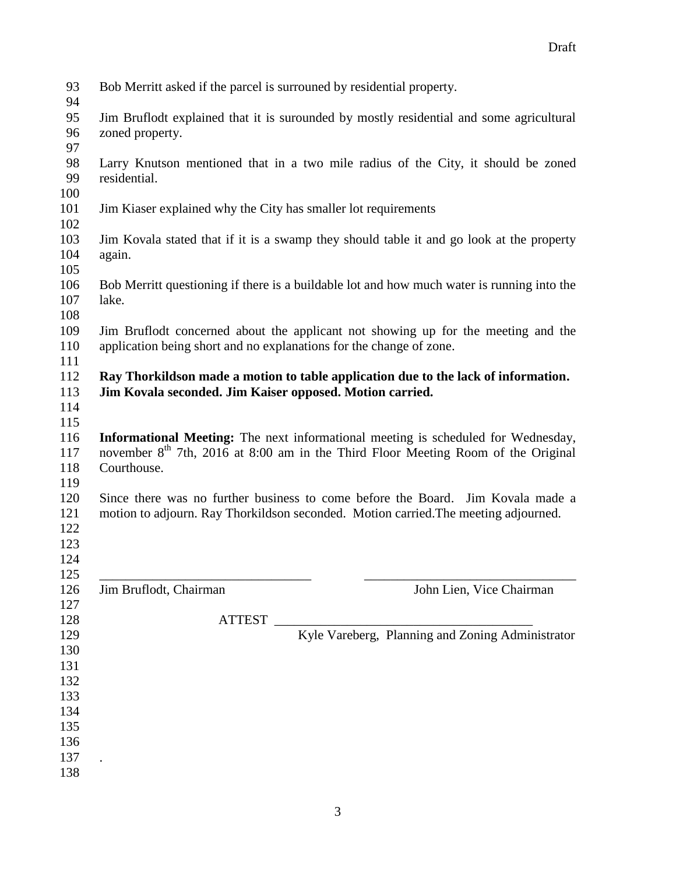| 93<br>94                        | Bob Merritt asked if the parcel is surrouned by residential property.                                                                                                                             |
|---------------------------------|---------------------------------------------------------------------------------------------------------------------------------------------------------------------------------------------------|
| 95<br>96<br>97                  | Jim Bruflodt explained that it is surounded by mostly residential and some agricultural<br>zoned property.                                                                                        |
| 98<br>99<br>100                 | Larry Knutson mentioned that in a two mile radius of the City, it should be zoned<br>residential.                                                                                                 |
| 101<br>102                      | Jim Kiaser explained why the City has smaller lot requirements                                                                                                                                    |
| 103<br>104<br>105               | Jim Kovala stated that if it is a swamp they should table it and go look at the property<br>again.                                                                                                |
| 106<br>107<br>108               | Bob Merritt questioning if there is a buildable lot and how much water is running into the<br>lake.                                                                                               |
| 109<br>110<br>111               | Jim Bruflodt concerned about the applicant not showing up for the meeting and the<br>application being short and no explanations for the change of zone.                                          |
| 112<br>113<br>114<br>115        | Ray Thorkildson made a motion to table application due to the lack of information.<br>Jim Kovala seconded. Jim Kaiser opposed. Motion carried.                                                    |
| 116<br>117<br>118               | Informational Meeting: The next informational meeting is scheduled for Wednesday,<br>november 8 <sup>th</sup> 7th, 2016 at 8:00 am in the Third Floor Meeting Room of the Original<br>Courthouse. |
| 119<br>120<br>121<br>122<br>123 | Since there was no further business to come before the Board. Jim Kovala made a<br>motion to adjourn. Ray Thorkildson seconded. Motion carried. The meeting adjourned.                            |
| 124<br>125                      |                                                                                                                                                                                                   |
| 126<br>127                      | Jim Bruflodt, Chairman<br>John Lien, Vice Chairman                                                                                                                                                |
| 128<br>129<br>130               | ATTEST<br>Kyle Vareberg, Planning and Zoning Administrator                                                                                                                                        |
| 131<br>132                      |                                                                                                                                                                                                   |
| 133<br>134                      |                                                                                                                                                                                                   |
| 135<br>136                      |                                                                                                                                                                                                   |
| 137                             |                                                                                                                                                                                                   |
| 138                             |                                                                                                                                                                                                   |